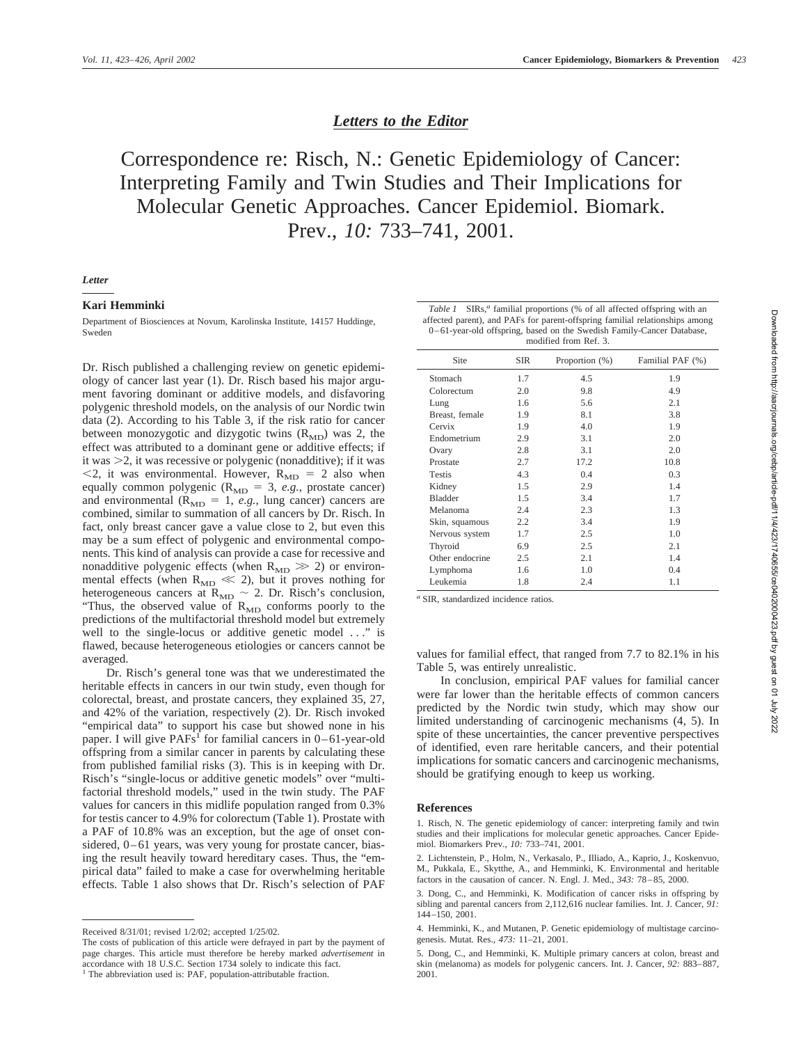# *Letters to the Editor*

Correspondence re: Risch, N.: Genetic Epidemiology of Cancer: Interpreting Family and Twin Studies and Their Implications for Molecular Genetic Approaches. Cancer Epidemiol. Biomark. Prev., *10:* 733–741, 2001.

### *Letter*

### **Kari Hemminki**

Department of Biosciences at Novum, Karolinska Institute, 14157 Huddinge, Sweden

Dr. Risch published a challenging review on genetic epidemiology of cancer last year (1). Dr. Risch based his major argument favoring dominant or additive models, and disfavoring polygenic threshold models, on the analysis of our Nordic twin data (2). According to his Table 3, if the risk ratio for cancer between monozygotic and dizygotic twins  $(R<sub>MD</sub>)$  was 2, the effect was attributed to a dominant gene or additive effects; if it was  $>$ 2, it was recessive or polygenic (nonadditive); if it was  $\leq$ 2, it was environmental. However,  $R_{MD} = 2$  also when equally common polygenic ( $R_{MD} = 3$ , *e.g.*, prostate cancer) and environmental  $(R_{MD} = 1, e.g., lung cancer) cancers are$ combined, similar to summation of all cancers by Dr. Risch. In fact, only breast cancer gave a value close to 2, but even this may be a sum effect of polygenic and environmental components. This kind of analysis can provide a case for recessive and nonadditive polygenic effects (when  $R_{MD} \gg 2$ ) or environmental effects (when  $R_{MD} \ll 2$ ), but it proves nothing for heterogeneous cancers at  $R_{MD} \sim 2$ . Dr. Risch's conclusion, "Thus, the observed value of  $R_{MD}$  conforms poorly to the predictions of the multifactorial threshold model but extremely well to the single-locus or additive genetic model . . ." is flawed, because heterogeneous etiologies or cancers cannot be averaged.

Dr. Risch's general tone was that we underestimated the heritable effects in cancers in our twin study, even though for colorectal, breast, and prostate cancers, they explained 35, 27, and 42% of the variation, respectively (2). Dr. Risch invoked "empirical data" to support his case but showed none in his paper. I will give  $PAFs<sup>1</sup>$  for familial cancers in  $0-61$ -year-old offspring from a similar cancer in parents by calculating these from published familial risks (3). This is in keeping with Dr. Risch's "single-locus or additive genetic models" over "multifactorial threshold models," used in the twin study. The PAF values for cancers in this midlife population ranged from 0.3% for testis cancer to 4.9% for colorectum (Table 1). Prostate with a PAF of 10.8% was an exception, but the age of onset considered, 0–61 years, was very young for prostate cancer, biasing the result heavily toward hereditary cases. Thus, the "empirical data" failed to make a case for overwhelming heritable effects. Table 1 also shows that Dr. Risch's selection of PAF

*Table 1* SIRs,<sup>*a*</sup> familial proportions (% of all affected offspring with an affected parent), and PAFs for parent-offspring familial relationships among 0–61-year-old offspring, based on the Swedish Family-Cancer Database, modified from Ref. 3.

| Site            | <b>SIR</b> | Proportion (%) | Familial PAF (%) |
|-----------------|------------|----------------|------------------|
| Stomach         | 1.7        | 4.5            | 1.9              |
| Colorectum      | 2.0        | 9.8            | 4.9              |
| Lung            | 1.6        | 5.6            | 2.1              |
| Breast, female  | 1.9        | 8.1            | 3.8              |
| Cervix          | 1.9        | 4.0            | 1.9              |
| Endometrium     | 2.9        | 3.1            | 2.0              |
| Ovary           | 2.8        | 3.1            | 2.0              |
| Prostate        | 2.7        | 17.2           | 10.8             |
| <b>Testis</b>   | 4.3        | 0.4            | 0.3              |
| Kidney          | 1.5        | 2.9            | 1.4              |
| Bladder         | 1.5        | 3.4            | 1.7              |
| Melanoma        | 2.4        | 2.3            | 1.3              |
| Skin, squamous  | 2.2        | 3.4            | 1.9              |
| Nervous system  | 1.7        | 2.5            | 1.0              |
| Thyroid         | 6.9        | 2.5            | 2.1              |
| Other endocrine | 2.5        | 2.1            | 1.4              |
| Lymphoma        | 1.6        | 1.0            | 0.4              |
| Leukemia        | 1.8        | 2.4            | 1.1              |

*<sup>a</sup>* SIR, standardized incidence ratios.

values for familial effect, that ranged from 7.7 to 82.1% in his Table 5, was entirely unrealistic.

In conclusion, empirical PAF values for familial cancer were far lower than the heritable effects of common cancers predicted by the Nordic twin study, which may show our limited understanding of carcinogenic mechanisms (4, 5). In spite of these uncertainties, the cancer preventive perspectives of identified, even rare heritable cancers, and their potential implications for somatic cancers and carcinogenic mechanisms, should be gratifying enough to keep us working.

# **References**

Received 8/31/01; revised 1/2/02; accepted 1/25/02.

The costs of publication of this article were defrayed in part by the payment of page charges. This article must therefore be hereby marked *advertisement* in accordance with 18 U.S.C. Section 1734 solely to indicate this fact.

<sup>&</sup>lt;sup>1</sup> The abbreviation used is: PAF, population-attributable fraction.

<sup>1.</sup> Risch, N. The genetic epidemiology of cancer: interpreting family and twin studies and their implications for molecular genetic approaches. Cancer Epidemiol. Biomarkers Prev., *10:* 733–741, 2001.

<sup>2.</sup> Lichtenstein, P., Holm, N., Verkasalo, P., Illiado, A., Kaprio, J., Koskenvuo, M., Pukkala, E., Skytthe, A., and Hemminki, K. Environmental and heritable factors in the causation of cancer. N. Engl. J. Med., *343:* 78–85, 2000.

<sup>3.</sup> Dong, C., and Hemminki, K. Modification of cancer risks in offspring by sibling and parental cancers from 2,112,616 nuclear families. Int. J. Cancer, *91:* 144–150, 2001.

<sup>4.</sup> Hemminki, K., and Mutanen, P. Genetic epidemiology of multistage carcinogenesis. Mutat. Res., *473:* 11–21, 2001.

<sup>5.</sup> Dong, C., and Hemminki, K. Multiple primary cancers at colon, breast and skin (melanoma) as models for polygenic cancers. Int. J. Cancer, *92:* 883–887, 2001.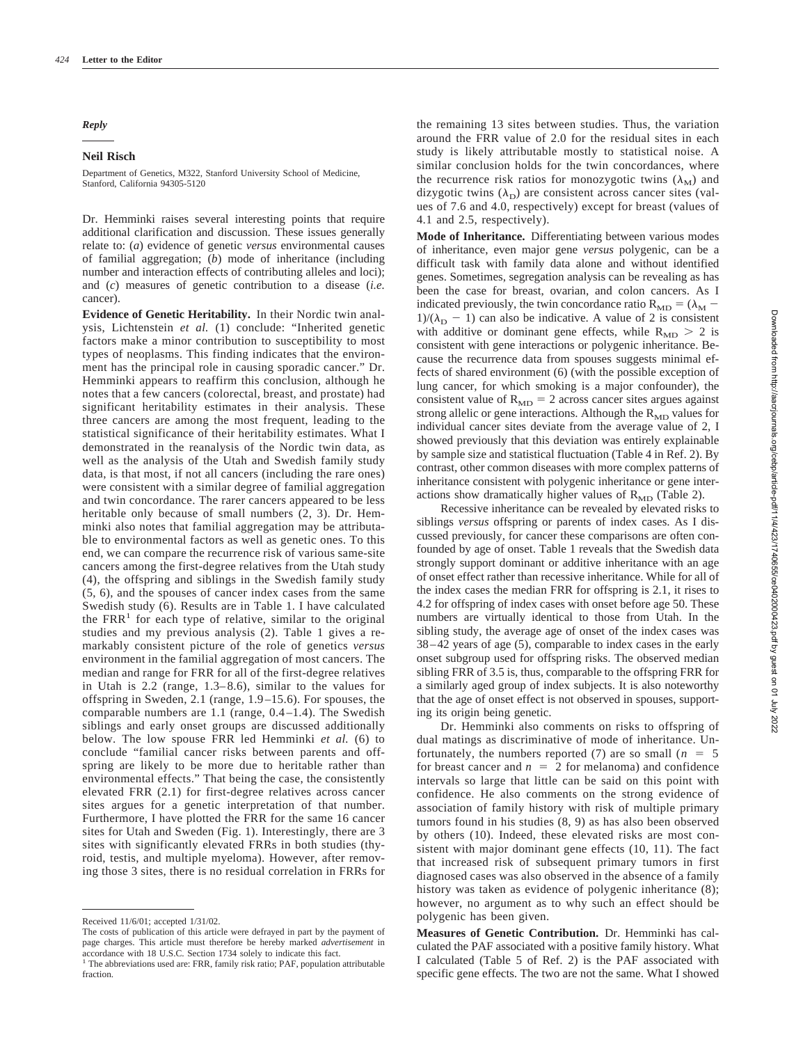#### *Reply*

## **Neil Risch**

Department of Genetics, M322, Stanford University School of Medicine, Stanford, California 94305-5120

Dr. Hemminki raises several interesting points that require additional clarification and discussion. These issues generally relate to: (*a*) evidence of genetic *versus* environmental causes of familial aggregation; (*b*) mode of inheritance (including number and interaction effects of contributing alleles and loci); and (*c*) measures of genetic contribution to a disease (*i.e.* cancer).

**Evidence of Genetic Heritability.** In their Nordic twin analysis, Lichtenstein *et al.* (1) conclude: "Inherited genetic factors make a minor contribution to susceptibility to most types of neoplasms. This finding indicates that the environment has the principal role in causing sporadic cancer." Dr. Hemminki appears to reaffirm this conclusion, although he notes that a few cancers (colorectal, breast, and prostate) had significant heritability estimates in their analysis. These three cancers are among the most frequent, leading to the statistical significance of their heritability estimates. What I demonstrated in the reanalysis of the Nordic twin data, as well as the analysis of the Utah and Swedish family study data, is that most, if not all cancers (including the rare ones) were consistent with a similar degree of familial aggregation and twin concordance. The rarer cancers appeared to be less heritable only because of small numbers (2, 3). Dr. Hemminki also notes that familial aggregation may be attributable to environmental factors as well as genetic ones. To this end, we can compare the recurrence risk of various same-site cancers among the first-degree relatives from the Utah study (4), the offspring and siblings in the Swedish family study (5, 6), and the spouses of cancer index cases from the same Swedish study (6). Results are in Table 1. I have calculated the  $FRR<sup>1</sup>$  for each type of relative, similar to the original studies and my previous analysis (2). Table 1 gives a remarkably consistent picture of the role of genetics *versus* environment in the familial aggregation of most cancers. The median and range for FRR for all of the first-degree relatives in Utah is 2.2 (range, 1.3– 8.6), similar to the values for offspring in Sweden, 2.1 (range, 1.9 –15.6). For spouses, the comparable numbers are 1.1 (range, 0.4 –1.4). The Swedish siblings and early onset groups are discussed additionally below. The low spouse FRR led Hemminki *et al.* (6) to conclude "familial cancer risks between parents and offspring are likely to be more due to heritable rather than environmental effects." That being the case, the consistently elevated FRR (2.1) for first-degree relatives across cancer sites argues for a genetic interpretation of that number. Furthermore, I have plotted the FRR for the same 16 cancer sites for Utah and Sweden (Fig. 1). Interestingly, there are 3 sites with significantly elevated FRRs in both studies (thyroid, testis, and multiple myeloma). However, after removing those 3 sites, there is no residual correlation in FRRs for

the remaining 13 sites between studies. Thus, the variation around the FRR value of 2.0 for the residual sites in each study is likely attributable mostly to statistical noise. A similar conclusion holds for the twin concordances, where the recurrence risk ratios for monozygotic twins  $(\lambda_M)$  and dizygotic twins  $(\lambda_D)$  are consistent across cancer sites (values of 7.6 and 4.0, respectively) except for breast (values of 4.1 and 2.5, respectively).

**Mode of Inheritance.** Differentiating between various modes of inheritance, even major gene *versus* polygenic, can be a difficult task with family data alone and without identified genes. Sometimes, segregation analysis can be revealing as has been the case for breast, ovarian, and colon cancers. As I indicated previously, the twin concordance ratio  $R_{MD} = (\lambda_M 1/(\lambda_D - 1)$  can also be indicative. A value of 2 is consistent with additive or dominant gene effects, while  $R_{MD} > 2$  is consistent with gene interactions or polygenic inheritance. Because the recurrence data from spouses suggests minimal effects of shared environment (6) (with the possible exception of lung cancer, for which smoking is a major confounder), the consistent value of  $R_{MD} = 2$  across cancer sites argues against strong allelic or gene interactions. Although the  $R_{MD}$  values for individual cancer sites deviate from the average value of 2, I showed previously that this deviation was entirely explainable by sample size and statistical fluctuation (Table 4 in Ref. 2). By contrast, other common diseases with more complex patterns of inheritance consistent with polygenic inheritance or gene interactions show dramatically higher values of  $R_{MD}$  (Table 2).

Recessive inheritance can be revealed by elevated risks to siblings *versus* offspring or parents of index cases. As I discussed previously, for cancer these comparisons are often confounded by age of onset. Table 1 reveals that the Swedish data strongly support dominant or additive inheritance with an age of onset effect rather than recessive inheritance. While for all of the index cases the median FRR for offspring is 2.1, it rises to 4.2 for offspring of index cases with onset before age 50. These numbers are virtually identical to those from Utah. In the sibling study, the average age of onset of the index cases was 38–42 years of age (5), comparable to index cases in the early onset subgroup used for offspring risks. The observed median sibling FRR of 3.5 is, thus, comparable to the offspring FRR for a similarly aged group of index subjects. It is also noteworthy that the age of onset effect is not observed in spouses, supporting its origin being genetic.

Dr. Hemminki also comments on risks to offspring of dual matings as discriminative of mode of inheritance. Unfortunately, the numbers reported  $(7)$  are so small  $(n = 5)$ for breast cancer and  $n = 2$  for melanoma) and confidence intervals so large that little can be said on this point with confidence. He also comments on the strong evidence of association of family history with risk of multiple primary tumors found in his studies (8, 9) as has also been observed by others (10). Indeed, these elevated risks are most consistent with major dominant gene effects (10, 11). The fact that increased risk of subsequent primary tumors in first diagnosed cases was also observed in the absence of a family history was taken as evidence of polygenic inheritance (8); however, no argument as to why such an effect should be polygenic has been given.

**Measures of Genetic Contribution.** Dr. Hemminki has calculated the PAF associated with a positive family history. What I calculated (Table 5 of Ref. 2) is the PAF associated with specific gene effects. The two are not the same. What I showed

Received 11/6/01; accepted 1/31/02.

The costs of publication of this article were defrayed in part by the payment of page charges. This article must therefore be hereby marked *advertisement* in accordance with 18 U.S.C. Section 1734 solely to indicate this fact.

<sup>&</sup>lt;sup>1</sup> The abbreviations used are: FRR, family risk ratio; PAF, population attributable fraction.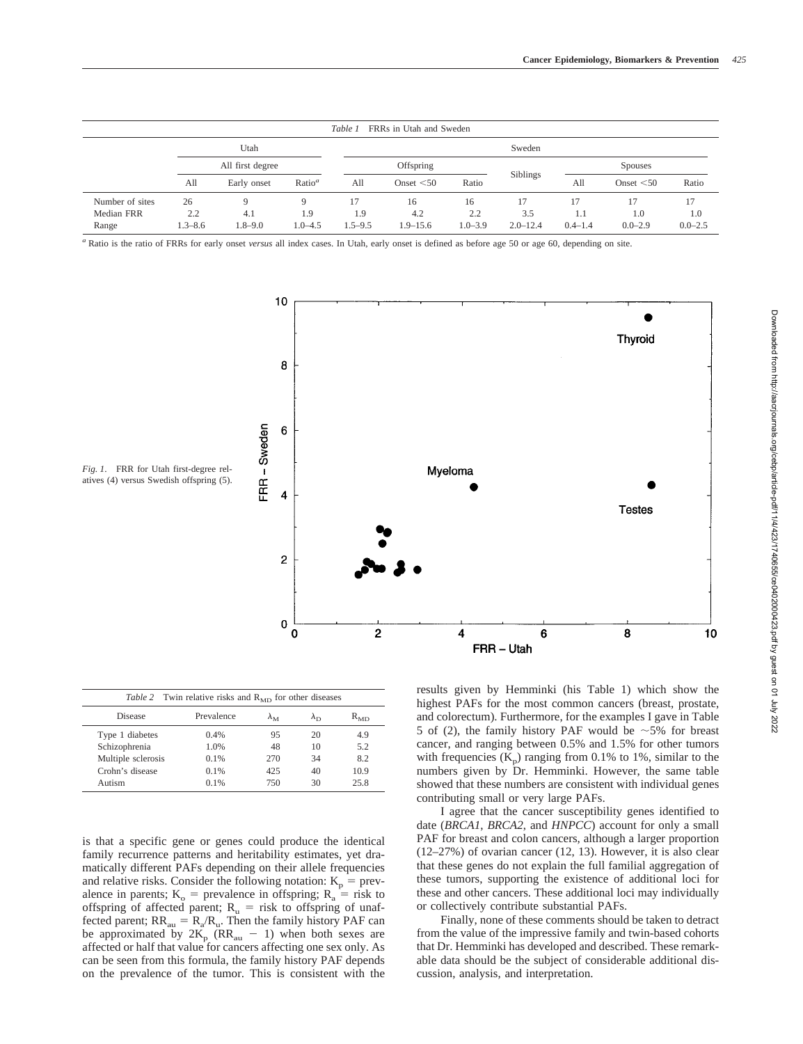|                 |             |                  |                    | Table 1     | FRRs in Utah and Sweden |             |                |             |              |             |
|-----------------|-------------|------------------|--------------------|-------------|-------------------------|-------------|----------------|-------------|--------------|-------------|
|                 |             | Utah             |                    |             |                         |             | Sweden         |             |              |             |
|                 |             | All first degree | Offspring          |             |                         |             | <b>Spouses</b> |             |              |             |
|                 | All         | Early onset      | Ratio <sup>a</sup> | A11         | Onset $<$ 50            | Ratio       | Siblings       | All         | Onset $<$ 50 | Ratio       |
| Number of sites | 26          |                  | 9                  | 17          | 16                      | 16          | 17             | 17          | 17           |             |
| Median FRR      | 2.2         | 4.1              | 1.9                | 1.9         | 4.2                     | 2.2         | 3.5            | 1.1         | 1.0          | 1.0         |
| Range           | $1.3 - 8.6$ | $1.8 - 9.0$      | $1.0 - 4.5$        | $1.5 - 9.5$ | $1.9 - 15.6$            | $1.0 - 3.9$ | $2.0 - 12.4$   | $0.4 - 1.4$ | $0.0 - 2.9$  | $0.0 - 2.5$ |

*<sup>a</sup>* Ratio is the ratio of FRRs for early onset *versus* all index cases. In Utah, early onset is defined as before age 50 or age 60, depending on site.



| <i>Table 2</i> Twin relative risks and $R_{MD}$ for other diseases |            |                   |                   |          |  |  |
|--------------------------------------------------------------------|------------|-------------------|-------------------|----------|--|--|
| Disease                                                            | Prevalence | $\lambda_{\rm M}$ | $\lambda_{\rm D}$ | $R_{MD}$ |  |  |
| Type 1 diabetes                                                    | 0.4%       | 95                | 20                | 4.9      |  |  |
| Schizophrenia                                                      | 1.0%       | 48                | 10                | 5.2      |  |  |
| Multiple sclerosis                                                 | 0.1%       | 270               | 34                | 8.2      |  |  |
| Crohn's disease                                                    | 0.1%       | 425               | 40                | 10.9     |  |  |
| Autism                                                             | 0.1%       | 750               | 30                | 25.8     |  |  |

is that a specific gene or genes could produce the identical family recurrence patterns and heritability estimates, yet dramatically different PAFs depending on their allele frequencies and relative risks. Consider the following notation:  $K_p$  = prevalence in parents;  $K_o$  = prevalence in offspring;  $R_a$  = risk to offspring of affected parent;  $R_{\text{u}} =$  risk to offspring of unaffected parent;  $RR_{au} = R_a/R_u$ . Then the family history PAF can be approximated by  $2K_p$  ( $RR_{au}$  - 1) when both sexes are affected or half that value for cancers affecting one sex only. As can be seen from this formula, the family history PAF depends on the prevalence of the tumor. This is consistent with the

results given by Hemminki (his Table 1) which show the highest PAFs for the most common cancers (breast, prostate, and colorectum). Furthermore, for the examples I gave in Table 5 of (2), the family history PAF would be  $\sim$  5% for breast cancer, and ranging between 0.5% and 1.5% for other tumors with frequencies  $(K_p)$  ranging from 0.1% to 1%, similar to the numbers given by Dr. Hemminki. However, the same table showed that these numbers are consistent with individual genes contributing small or very large PAFs.

I agree that the cancer susceptibility genes identified to date (*BRCA1*, *BRCA2*, and *HNPCC*) account for only a small PAF for breast and colon cancers, although a larger proportion (12–27%) of ovarian cancer (12, 13). However, it is also clear that these genes do not explain the full familial aggregation of these tumors, supporting the existence of additional loci for these and other cancers. These additional loci may individually or collectively contribute substantial PAFs.

Finally, none of these comments should be taken to detract from the value of the impressive family and twin-based cohorts that Dr. Hemminki has developed and described. These remarkable data should be the subject of considerable additional discussion, analysis, and interpretation.